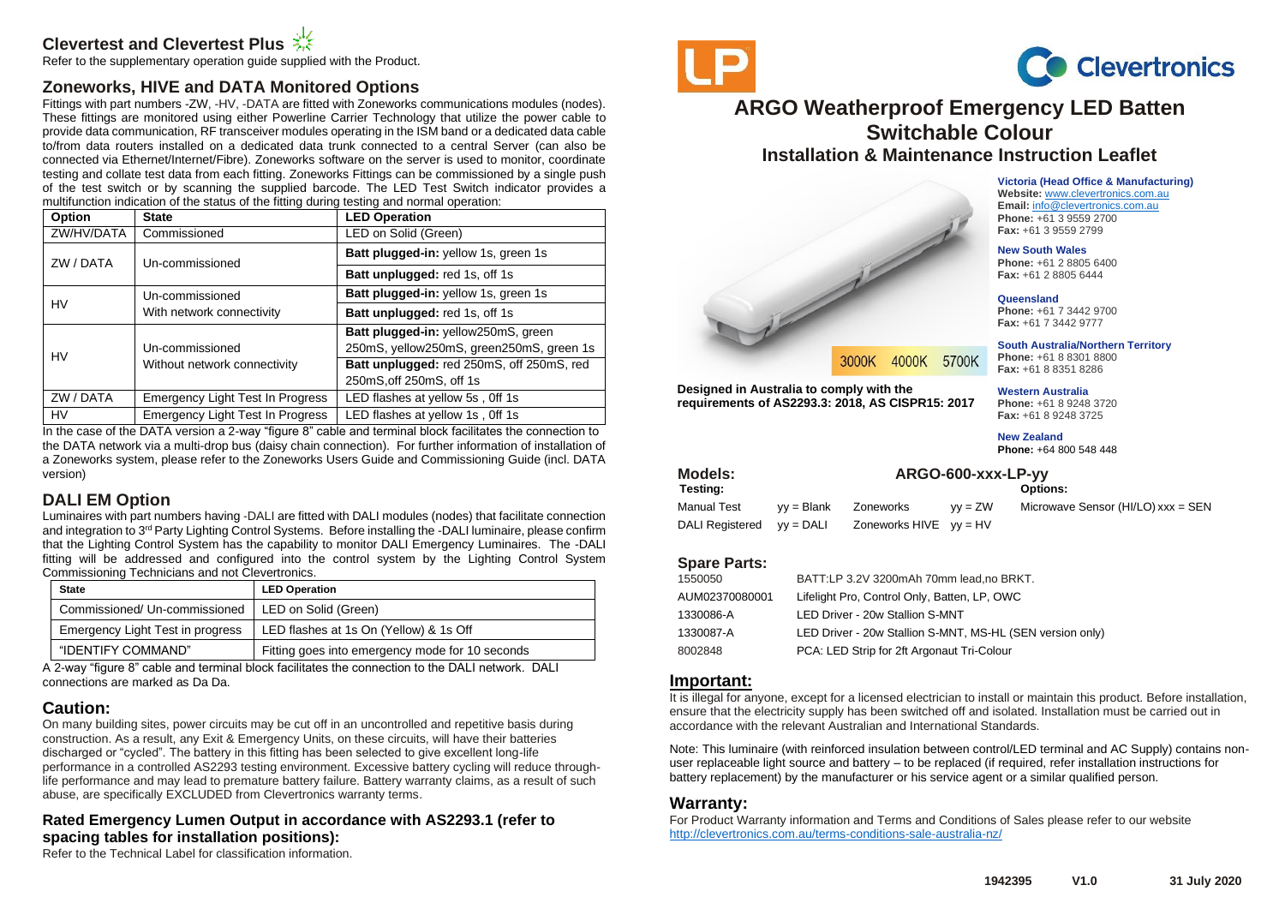## **Clevertest and Clevertest Plus**

Refer to the supplementary operation guide supplied with the Product.

## **Zoneworks, HIVE and DATA Monitored Options**

Fittings with part numbers -ZW, -HV, -DATA are fitted with Zoneworks communications modules (nodes). These fittings are monitored using either Powerline Carrier Technology that utilize the power cable to provide data communication, RF transceiver modules operating in the ISM band or a dedicated data cable to/from data routers installed on a dedicated data trunk connected to a central Server (can also be connected via Ethernet/Internet/Fibre). Zoneworks software on the server is used to monitor, coordinate testing and collate test data from each fitting. Zoneworks Fittings can be commissioned by a single push of the test switch or by scanning the supplied barcode. The LED Test Switch indicator provides a multifunction indication of the status of the fitting during testing and normal operation:

| Option     | <b>State</b>                            | <b>LED Operation</b>                      |
|------------|-----------------------------------------|-------------------------------------------|
| ZW/HV/DATA | Commissioned                            | LED on Solid (Green)                      |
| ZW / DATA  | Un-commissioned                         | Batt plugged-in: yellow 1s, green 1s      |
|            |                                         | Batt unplugged: red 1s, off 1s            |
| <b>HV</b>  | Un-commissioned                         | Batt plugged-in: yellow 1s, green 1s      |
|            | With network connectivity               | Batt unplugged: red 1s, off 1s            |
| HV         |                                         | Batt plugged-in: yellow250mS, green       |
|            | Un-commissioned                         | 250mS, yellow250mS, green250mS, green 1s  |
|            | Without network connectivity            | Batt unplugged: red 250mS, off 250mS, red |
|            |                                         | 250mS, off 250mS, off 1s                  |
| ZW / DATA  | <b>Emergency Light Test In Progress</b> | LED flashes at yellow 5s, Off 1s          |
| HV         | Emergency Light Test In Progress        | LED flashes at yellow 1s, Off 1s          |

In the case of the DATA version a 2-way "figure 8" cable and terminal block facilitates the connection to the DATA network via a multi-drop bus (daisy chain connection). For further information of installation of a Zoneworks system, please refer to the Zoneworks Users Guide and Commissioning Guide (incl. DATA version)

## **DALI EM Option**

Luminaires with part numbers having -DALI are fitted with DALI modules (nodes) that facilitate connection and integration to 3rd Party Lighting Control Systems. Before installing the -DALI luminaire, please confirm that the Lighting Control System has the capability to monitor DALI Emergency Luminaires. The -DALI fitting will be addressed and configured into the control system by the Lighting Control System Commissioning Technicians and not Clevertronics.

| <b>State</b>                     | <b>LED Operation</b>                            |
|----------------------------------|-------------------------------------------------|
| Commissioned/ Un-commissioned    | LED on Solid (Green)                            |
| Emergency Light Test in progress | LED flashes at 1s On (Yellow) & 1s Off          |
| "IDENTIFY COMMAND"               | Fitting goes into emergency mode for 10 seconds |

A 2-way "figure 8" cable and terminal block facilitates the connection to the DALI network. DALI connections are marked as Da Da.

## **Caution:**

On many building sites, power circuits may be cut off in an uncontrolled and repetitive basis during construction. As a result, any Exit & Emergency Units, on these circuits, will have their batteries discharged or "cycled". The battery in this fitting has been selected to give excellent long-life performance in a controlled AS2293 testing environment. Excessive battery cycling will reduce throughlife performance and may lead to premature battery failure. Battery warranty claims, as a result of such abuse, are specifically EXCLUDED from Clevertronics warranty terms.

## **Rated Emergency Lumen Output in accordance with AS2293.1 (refer to spacing tables for installation positions):**

Refer to the Technical Label for classification information.





# **ARGO Weatherproof Emergency LED Batten Switchable Colour Installation & Maintenance Instruction Leaflet**

**Victoria (Head Office & Manufacturing) Website:** [www.clevertronics.com.au](http://www.clevertronics.com.au/) **Email:** info@clevertronics.com.au **Phone:** +61 3 9559 2700 **Fax:** +61 3 9559 2799

**New South Wales Phone:** +61 2 8805 6400 **Fax:** +61 2 8805 6444

**Queensland**

**Phone:** +61 7 3442 9700 **Fax:** +61 7 3442 9777

**South Australia/Northern Territory Phone:** +61 8 8301 8800 **Fax:** +61 8 8351 8286

**Western Australia**

**Phone:** +61 8 9248 3720 **Fax:** +61 8 9248 3725

**New Zealand Phone:** +64 800 548 448

## **Models: ARGO-600-xxx-LP-yy**

**Testing: Options:**

DALI Registered vy = DALI Zoneworks HIVE vy = HV

**requirements of AS2293.3: 2018, AS CISPR15: 2017**

**Particularly** 

**Designed in Australia to comply with the** 

3000K 4000K 5700K

# Manual Test vy = Blank Zoneworks yy = ZW Microwave Sensor (HI/LO) xxx = SEN

#### **Spare Parts:**

| 1550050        | BATT:LP 3.2V 3200mAh 70mm lead, no BRKT.                  |
|----------------|-----------------------------------------------------------|
| AUM02370080001 | Lifelight Pro, Control Only, Batten, LP, OWC              |
| 1330086-A      | LED Driver - 20w Stallion S-MNT                           |
| 1330087-A      | LED Driver - 20w Stallion S-MNT, MS-HL (SEN version only) |
| 8002848        | PCA: LED Strip for 2ft Argonaut Tri-Colour                |
|                |                                                           |

#### **Important:**

It is illegal for anyone, except for a licensed electrician to install or maintain this product. Before installation, ensure that the electricity supply has been switched off and isolated. Installation must be carried out in accordance with the relevant Australian and International Standards.

Note: This luminaire (with reinforced insulation between control/LED terminal and AC Supply) contains nonuser replaceable light source and battery – to be replaced (if required, refer installation instructions for battery replacement) by the manufacturer or his service agent or a similar qualified person.

#### **Warranty:**

For Product Warranty information and Terms and Conditions of Sales please refer to our website <http://clevertronics.com.au/terms-conditions-sale-australia-nz/>